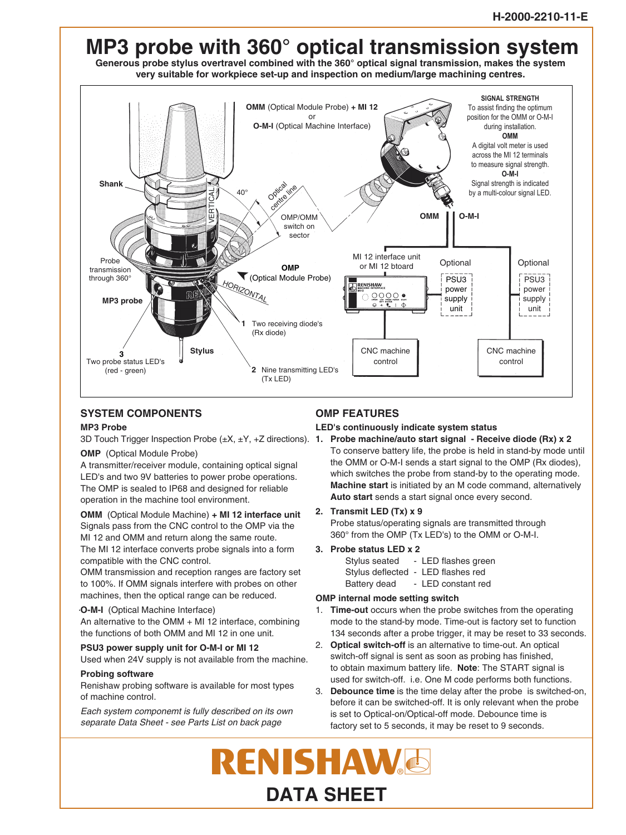

# **SYSTEM COMPONENTS**

### **MP3 Probe**

**OMP** (Optical Module Probe)

A transmitter/receiver module, containing optical signal LED's and two 9V batteries to power probe operations. The OMP is sealed to IP68 and designed for reliable operation in the machine tool environment.

**OMM** (Optical Module Machine) **+ MI 12 interface unit** Signals pass from the CNC control to the OMP via the MI 12 and OMM and return along the same route.

The MI 12 interface converts probe signals into a form compatible with the CNC control.

OMM transmission and reception ranges are factory set to 100%. If OMM signals interfere with probes on other machines, then the optical range can be reduced.

### **O-M-I** (Optical Machine Interface)

An alternative to the OMM + MI 12 interface, combining the functions of both OMM and MI 12 in one unit.

**PSU3 power supply unit for O-M-I or MI 12** Used when 24V supply is not available from the machine.

**Probing software** Renishaw probing software is available for most types

of machine control. Each system componemt is fully described on its own

separate Data Sheet - see Parts List on back page

# **OMP FEATURES**

**LED's continuously indicate system status**

- 3D Touch Trigger Inspection Probe (±X, ±Y, +Z directions). **1. Probe machine/auto start signal Receive diode (Rx) x 2** To conserve battery life, the probe is held in stand-by mode until the OMM or O-M-I sends a start signal to the OMP (Rx diodes), which switches the probe from stand-by to the operating mode. **Machine start** is initiated by an M code command, alternatively **Auto start** sends a start signal once every second.
	- **2. Transmit LED (Tx) x 9**

Probe status/operating signals are transmitted through 360° from the OMP (Tx LED's) to the OMM or O-M-I.

- **3. Probe status LED x 2**
	- Stylus seated LED flashes green
	- Stylus deflected LED flashes red
	- Battery dead LED constant red

## **OMP internal mode setting switch**

- 1. **Time-out** occurs when the probe switches from the operating mode to the stand-by mode. Time-out is factory set to function 134 seconds after a probe trigger, it may be reset to 33 seconds.
- 2. **Optical switch-off** is an alternative to time-out. An optical switch-off signal is sent as soon as probing has finished, to obtain maximum battery life. **Note**: The START signal is used for switch-off. i.e. One M code performs both functions.
- 3. **Debounce time** is the time delay after the probe is switched-on, before it can be switched-off. It is only relevant when the probe is set to Optical-on/Optical-off mode. Debounce time is factory set to 5 seconds, it may be reset to 9 seconds.